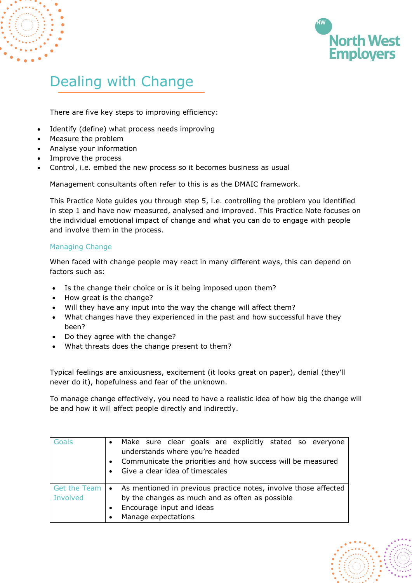

# Dealing with Change

There are five key steps to improving efficiency:

- Identify (define) what process needs improving
- Measure the problem
- Analyse your information
- Improve the process
- Control, i.e. embed the new process so it becomes business as usual

Management consultants often refer to this is as the DMAIC framework.

This Practice Note guides you through step 5, i.e. controlling the problem you identified in step 1 and have now measured, analysed and improved. This Practice Note focuses on the individual emotional impact of change and what you can do to engage with people and involve them in the process.

## Managing Change

When faced with change people may react in many different ways, this can depend on factors such as:

- Is the change their choice or is it being imposed upon them?
- How great is the change?
- Will they have any input into the way the change will affect them?
- What changes have they experienced in the past and how successful have they been?
- Do they agree with the change?
- What threats does the change present to them?

Typical feelings are anxiousness, excitement (it looks great on paper), denial (they'll never do it), hopefulness and fear of the unknown.

To manage change effectively, you need to have a realistic idea of how big the change will be and how it will affect people directly and indirectly.

| Goals                           | Make sure clear goals are explicitly stated so everyone<br>understands where you're headed<br>Communicate the priorities and how success will be measured<br>Give a clear idea of timescales |
|---------------------------------|----------------------------------------------------------------------------------------------------------------------------------------------------------------------------------------------|
| <b>Get the Team</b><br>Involved | As mentioned in previous practice notes, involve those affected<br>by the changes as much and as often as possible<br>Encourage input and ideas                                              |
|                                 | Manage expectations                                                                                                                                                                          |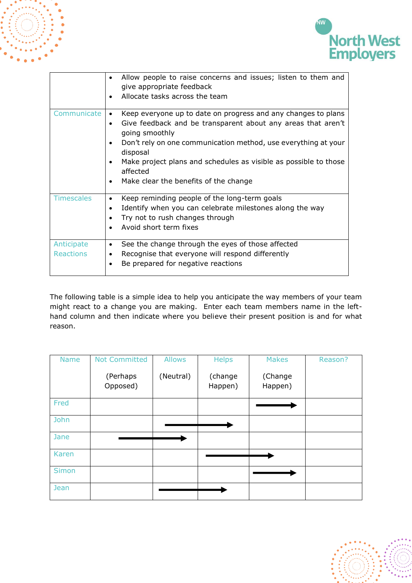



|                                | Allow people to raise concerns and issues; listen to them and<br>give appropriate feedback<br>Allocate tasks across the team                                                                                                                                                                                                                                        |
|--------------------------------|---------------------------------------------------------------------------------------------------------------------------------------------------------------------------------------------------------------------------------------------------------------------------------------------------------------------------------------------------------------------|
| Communicate                    | Keep everyone up to date on progress and any changes to plans<br>Give feedback and be transparent about any areas that aren't<br>going smoothly<br>Don't rely on one communication method, use everything at your<br>disposal<br>Make project plans and schedules as visible as possible to those<br>affected<br>Make clear the benefits of the change<br>$\bullet$ |
| <b>Timescales</b>              | Keep reminding people of the long-term goals<br>٠<br>Identify when you can celebrate milestones along the way<br>Try not to rush changes through<br>Avoid short term fixes                                                                                                                                                                                          |
| Anticipate<br><b>Reactions</b> | See the change through the eyes of those affected<br>$\bullet$<br>Recognise that everyone will respond differently<br>Be prepared for negative reactions                                                                                                                                                                                                            |

The following table is a simple idea to help you anticipate the way members of your team might react to a change you are making. Enter each team members name in the lefthand column and then indicate where you believe their present position is and for what reason.

| <b>Name</b>  | <b>Not Committed</b> | Allows    | <b>Helps</b>       | <b>Makes</b>       | Reason? |
|--------------|----------------------|-----------|--------------------|--------------------|---------|
|              | (Perhaps<br>Opposed) | (Neutral) | (change<br>Happen) | (Change<br>Happen) |         |
| Fred         |                      |           |                    |                    |         |
| John         |                      |           |                    |                    |         |
| Jane         |                      |           |                    |                    |         |
| Karen        |                      |           |                    |                    |         |
| <b>Simon</b> |                      |           |                    |                    |         |
| Jean         |                      |           |                    |                    |         |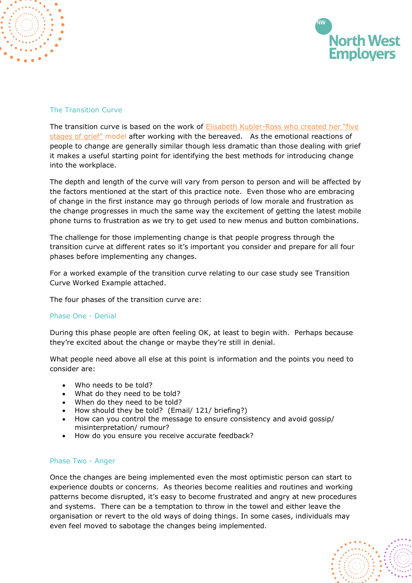

## The Transition Curve

The transition curve is based on the work of [Elisabeth Kubler-Ross](http://www.ekrfoundation.org/) who created her "five [stages of grief"](http://www.ekrfoundation.org/) model after working with the bereaved. As the emotional reactions of people to change are generally similar though less dramatic than those dealing with grief it makes a useful starting point for identifying the best methods for introducing change into the workplace.

The depth and length of the curve will vary from person to person and will be affected by the factors mentioned at the start of this practice note. Even those who are embracing of change in the first instance may go through periods of low morale and frustration as the change progresses in much the same way the excitement of getting the latest mobile phone turns to frustration as we try to get used to new menus and button combinations.

The challenge for those implementing change is that people progress through the transition curve at different rates so it's important you consider and prepare for all four phases before implementing any changes.

For a worked example of the transition curve relating to our case study see Transition Curve Worked Example attached.

The four phases of the transition curve are:

### Phase One - Denial

During this phase people are often feeling OK, at least to begin with. Perhaps because they're excited about the change or maybe they're still in denial.

What people need above all else at this point is information and the points you need to consider are:

- Who needs to be told?
- What do they need to be told?
- When do they need to be told?
- How should they be told? (Email/ 121/ briefing?)
- How can you control the message to ensure consistency and avoid gossip/ misinterpretation/ rumour?
- How do you ensure you receive accurate feedback?

#### Phase Two - Anger

Once the changes are being implemented even the most optimistic person can start to experience doubts or concerns. As theories become realities and routines and working patterns become disrupted, it's easy to become frustrated and angry at new procedures and systems. There can be a temptation to throw in the towel and either leave the organisation or revert to the old ways of doing things. In some cases, individuals may even feel moved to sabotage the changes being implemented.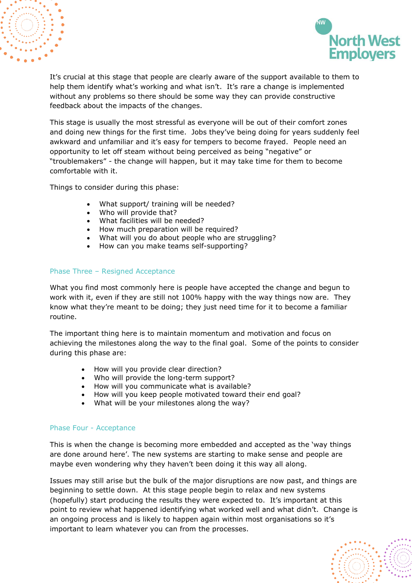

It's crucial at this stage that people are clearly aware of the support available to them to help them identify what's working and what isn't. It's rare a change is implemented without any problems so there should be some way they can provide constructive feedback about the impacts of the changes.

This stage is usually the most stressful as everyone will be out of their comfort zones and doing new things for the first time. Jobs they've being doing for years suddenly feel awkward and unfamiliar and it's easy for tempers to become frayed. People need an opportunity to let off steam without being perceived as being "negative" or "troublemakers" - the change will happen, but it may take time for them to become comfortable with it.

Things to consider during this phase:

- What support/ training will be needed?
- Who will provide that?
- What facilities will be needed?
- How much preparation will be required?
- What will you do about people who are struggling?
- How can you make teams self-supporting?

## Phase Three – Resigned Acceptance

What you find most commonly here is people have accepted the change and begun to work with it, even if they are still not 100% happy with the way things now are. They know what they're meant to be doing; they just need time for it to become a familiar routine.

The important thing here is to maintain momentum and motivation and focus on achieving the milestones along the way to the final goal. Some of the points to consider during this phase are:

- How will you provide clear direction?
- Who will provide the long-term support?
- How will you communicate what is available?
- How will you keep people motivated toward their end goal?
- What will be your milestones along the way?

### Phase Four - Acceptance

This is when the change is becoming more embedded and accepted as the 'way things are done around here'. The new systems are starting to make sense and people are maybe even wondering why they haven't been doing it this way all along.

Issues may still arise but the bulk of the major disruptions are now past, and things are beginning to settle down. At this stage people begin to relax and new systems (hopefully) start producing the results they were expected to. It's important at this point to review what happened identifying what worked well and what didn't. Change is an ongoing process and is likely to happen again within most organisations so it's important to learn whatever you can from the processes.